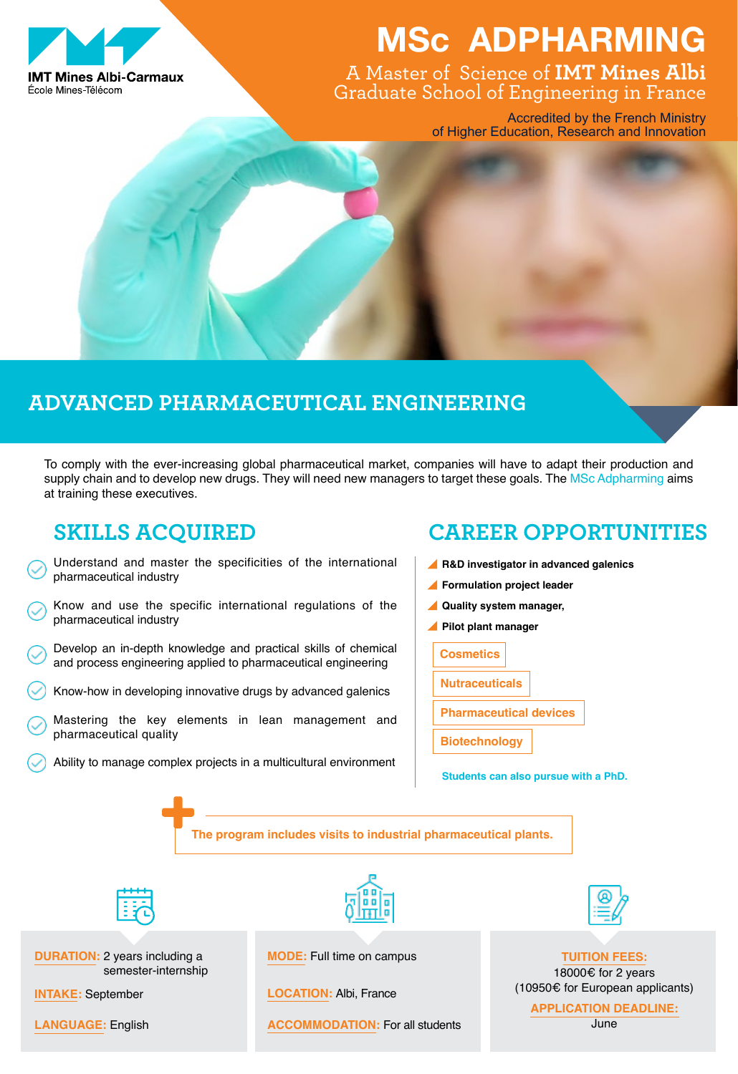

# **MSc ADPHARMING**

A Master of Science of **IMT Mines Albi**  Graduate School of Engineering in France

> Accredited by the French Ministry of Higher Education, Research and Innovation

## **Advanced Pharmaceutical Engineering**

To comply with the ever-increasing global pharmaceutical market, companies will have to adapt their production and supply chain and to develop new drugs. They will need new managers to target these goals. The MSc Adpharming aims at training these executives.

### **SKILLS ACQUIRED**

- Understand and master the specificities of the international pharmaceutical industry
- Know and use the specific international regulations of the pharmaceutical industry
- Develop an in-depth knowledge and practical skills of chemical and process engineering applied to pharmaceutical engineering
- Know-how in developing innovative drugs by advanced galenics
- Mastering the key elements in lean management and pharmaceutical quality
- Ability to manage complex projects in a multicultural environment

### **CAREER OPPORTUNITIES**

- **R&D investigator in advanced galenics**
- **Formulation project leader**
- **Quality system manager,**
- **Pilot plant manager**
	- **Cosmetics**
	- **Nutraceuticals**
	- **Pharmaceutical devices**
	- **Biotechnology**

**Students can also pursue with a PhD.**

**The program includes visits to industrial pharmaceutical plants.**



**DURATION: 2 years including a** semester-internship

**Mode:** Full time on campus

**Location:** Albi, France

**Language:** English June **ACCOMMODATION:** For all students



**Tuition fees:** 18000€ for 2 years

(10950€ for European applicants) **Intake:** September

**Application deadline:**